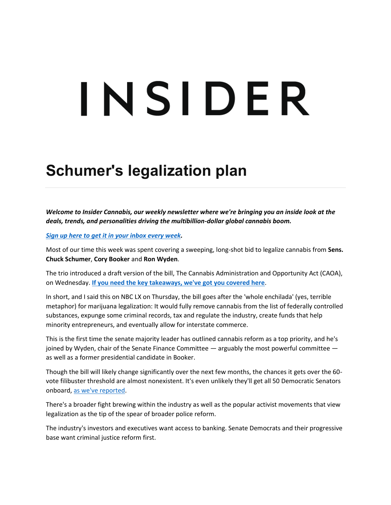# INSIDER

## **Schumer's legalization plan**

*Welcome to Insider Cannabis, our weekly newsletter where we're bringing you an inside look at the deals, trends, and personalities driving the multibillion-dollar global cannabis boom.*

*[Sign up here to get it in your inbox every week.](http://newsletter.businessinsider.com/join/cultivated)*

Most of our time this week was spent covering a sweeping, long-shot bid to legalize cannabis from **Sens. Chuck Schumer**, **Cory Booker** and **Ron Wyden**.

The trio introduced a draft version of the bill, The Cannabis Administration and Opportunity Act (CAOA), on Wednesday. **[If you need the key takeaways, we've got you covered here](https://www.businessinsider.com/senate-democrats-propose-bill-legalize-marijuana-2021-7)**.

In short, and I said this on NBC LX on Thursday, the bill goes after the 'whole enchilada' (yes, terrible metaphor) for marijuana legalization: It would fully remove cannabis from the list of federally controlled substances, expunge some criminal records, tax and regulate the industry, create funds that help minority entrepreneurs, and eventually allow for interstate commerce.

This is the first time the senate majority leader has outlined cannabis reform as a top priority, and he's joined by Wyden, chair of the Senate Finance Committee  $-$  arguably the most powerful committee  $$ as well as a former presidential candidate in Booker.

Though the bill will likely change significantly over the next few months, the chances it gets over the 60 vote filibuster threshold are almost nonexistent. It's even unlikely they'll get all 50 Democratic Senators onboard, [as we've reported.](https://www.businessinsider.com/marijuana-legalization-federal-decriminalization-congress-democrats-banking-schumber-2021-3)

There's a broader fight brewing within the industry as well as the popular activist movements that view legalization as the tip of the spear of broader police reform.

The industry's investors and executives want access to banking. Senate Democrats and their progressive base want criminal justice reform first.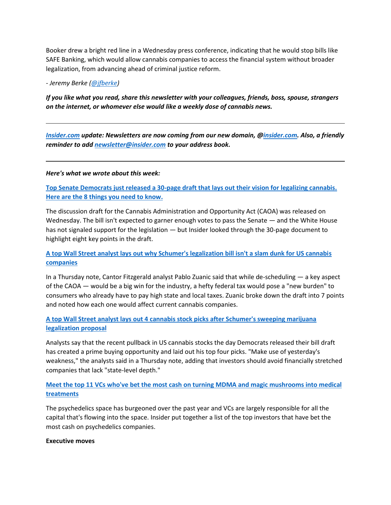Booker drew a bright red line in a Wednesday press conference, indicating that he would stop bills like SAFE Banking, which would allow cannabis companies to access the financial system without broader legalization, from advancing ahead of criminal justice reform.

*- Jeremy Berke [\(@jfberke\)](https://twitter.com/jfberke)*

*If you like what you read, share this newsletter with your colleagues, friends, boss, spouse, strangers on the internet, or whomever else would like a weekly dose of cannabis news.*

*[Insider.com](http://insider.com/) update: Newsletters are now coming from our new domain, [@insider.com.](http://insider.com/) Also, a friendly reminder to add [newsletter@insider.com](mailto:newsletter@insider.com) to your address book.*

*Here's what we wrote about this week:*

**[Top Senate Democrats just released a 30-page draft that lays out their vision for legalizing cannabis.](https://www.businessinsider.com/senate-democrats-propose-bill-legalize-marijuana-2021-7)  [Here are the 8 things you need to know.](https://www.businessinsider.com/senate-democrats-propose-bill-legalize-marijuana-2021-7)**

The discussion draft for the Cannabis Administration and Opportunity Act (CAOA) was released on Wednesday. The bill isn't expected to garner enough votes to pass the Senate — and the White House has not signaled support for the legislation — but Insider looked through the 30-page document to highlight eight key points in the draft.

#### **[A top Wall Street analyst lays out why Schumer's legalization bill isn't a slam dunk for US cannabis](https://www.businessinsider.com/analyst-schumer-marijuana-legalization-bill-pros-cons-cannabis-companies-2021-7)  [companies](https://www.businessinsider.com/analyst-schumer-marijuana-legalization-bill-pros-cons-cannabis-companies-2021-7)**

In a Thursday note, Cantor Fitzgerald analyst Pablo Zuanic said that while de-scheduling — a key aspect of the CAOA — would be a big win for the industry, a hefty federal tax would pose a "new burden" to consumers who already have to pay high state and local taxes. Zuanic broke down the draft into 7 points and noted how each one would affect current cannabis companies.

#### **[A top Wall Street analyst lays out 4 cannabis stock picks after Schumer's sweeping marijuana](https://www.businessinsider.com/list-top-cannabis-stocks-to-buy-curaleaf-gti-trulieve-cresco-2021-7)  [legalization proposal](https://www.businessinsider.com/list-top-cannabis-stocks-to-buy-curaleaf-gti-trulieve-cresco-2021-7)**

Analysts say that the recent pullback in US cannabis stocks the day Democrats released their bill draft has created a prime buying opportunity and laid out his top four picks. "Make use of yesterday's weakness," the analysts said in a Thursday note, adding that investors should avoid financially stretched companies that lack "state-level depth."

**[Meet the top 11 VCs who've bet the most cash on turning MDMA and magic mushrooms into medical](https://www.businessinsider.com/list-top-vcs-venture-capital-investors-psychedelics-industry-2021)  [treatments](https://www.businessinsider.com/list-top-vcs-venture-capital-investors-psychedelics-industry-2021)**

The psychedelics space has burgeoned over the past year and VCs are largely responsible for all the capital that's flowing into the space. Insider put together a list of the top investors that have bet the most cash on psychedelics companies.

#### **Executive moves**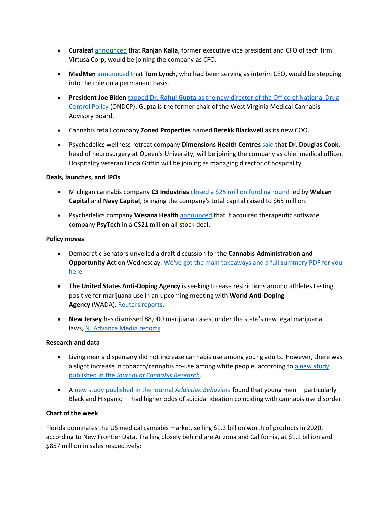- **Curaleaf** [announced](https://www.prnewswire.com/news-releases/curaleaf-appoints-ranjan-kalia-as-chief-financial-officer-301331165.html) that **Ranjan Kalia**, former executive vice president and CFO of tech firm Virtusa Corp, would be joining the company as CFO.
- **MedMen** [announced](https://www.businesswire.com/news/home/20210715006062/en/MedMen-Announces-Permanent-Appointment-of-Tom-Lynch-as-Chief-Executive-Officer) that **Tom Lynch**, who had been serving as interim CEO, would be stepping into the role on a permanent basis.
- **President Joe Biden** tapped **Dr. Rahul Gupta** [as the new director of the Office of National Drug](https://www.washingtonpost.com/health/2021/07/13/biden-gupta-drug-czar/)  [Control Policy](https://www.washingtonpost.com/health/2021/07/13/biden-gupta-drug-czar/) (ONDCP). Gupta is the former chair of the West Virginia Medical Cannabis Advisory Board.
- Cannabis retail company **Zoned Properties** named **Berekk Blackwell** as its new COO.
- Psychedelics wellness retreat company **Dimensions Health Centres** [said](https://www.globenewswire.com/news-release/2021/07/13/2261988/0/en/Dimensions-Health-Centres-Expands-Executive-Leadership-Team.html) that **Dr. Douglas Cook**, head of neurosurgery at Queen's University, will be joining the company as chief medical officer. Hospitality veteran Linda Griffin will be joining as managing director of hospitality.

#### **Deals, launches, and IPOs**

- Michigan cannabis company **C3 Industries** [closed a \\$25 million funding round](https://jcannabisresearch.biomedcentral.com/articles/10.1186/s42238-021-00084-y) led by **Welcan Capital** and **Navy Capital**, bringing the company's total capital raised to \$65 million.
- Psychedelics company **Wesana Health** [announced](https://www.globenewswire.com/news-release/2021/07/13/2262007/0/en/Wesana-Health-Announces-Definitive-Agreement-to-Acquire-PsyTech-Inc.html) that it acquired therapeutic software company **PsyTech** in a C\$21 million all-stock deal.

#### **Policy moves**

- Democratic Senators unveiled a draft discussion for the **Cannabis Administration and Opportunity Act** on Wednesday. [We've got the main takeaways and a full summary PDF for you](https://www.businessinsider.com/senate-democrats-propose-bill-legalize-marijuana-2021-7)  [here.](https://www.businessinsider.com/senate-democrats-propose-bill-legalize-marijuana-2021-7)
- **The United States Anti-Doping Agency** is seeking to ease restrictions around athletes testing positive for marijuana use in an upcoming meeting with **World Anti-Doping Agency** (WADA), [Reuters reports.](https://www.reuters.com/lifestyle/sports/usada-wants-fair-cannabis-rules-white-house-calls-meeting-2021-07-12/)
- **New Jersey** has dismissed 88,000 marijuana cases, under the state's new legal marijuana laws, [NJ Advance Media reports.](https://www.nj.com/marijuana/2021/07/nj-has-dismissed-88k-weed-cases-under-new-marijuana-law.html)

#### **Research and data**

- Living near a dispensary did not increase cannabis use among young adults. However, there was a slight increase in tobacco/cannabis co-use among white people, according to a new study published in the *[Journal of Cannabis Research](https://jcannabisresearch.biomedcentral.com/articles/10.1186/s42238-021-00084-y)*.
- A [new study published in the journal](https://jcannabisresearch.biomedcentral.com/articles/10.1186/s42238-021-00084-y) *[Addictive Behaviors](https://jcannabisresearch.biomedcentral.com/articles/10.1186/s42238-021-00084-y)* found that young men— particularly Black and Hispanic — had higher odds of suicidal ideation coinciding with cannabis use disorder.

#### **Chart of the week**

Florida dominates the US medical cannabis market, selling \$1.2 billion worth of products in 2020, according to New Frontier Data. Trailing closely behind are Arizona and California, at \$1.1 billion and \$857 million in sales respectively: